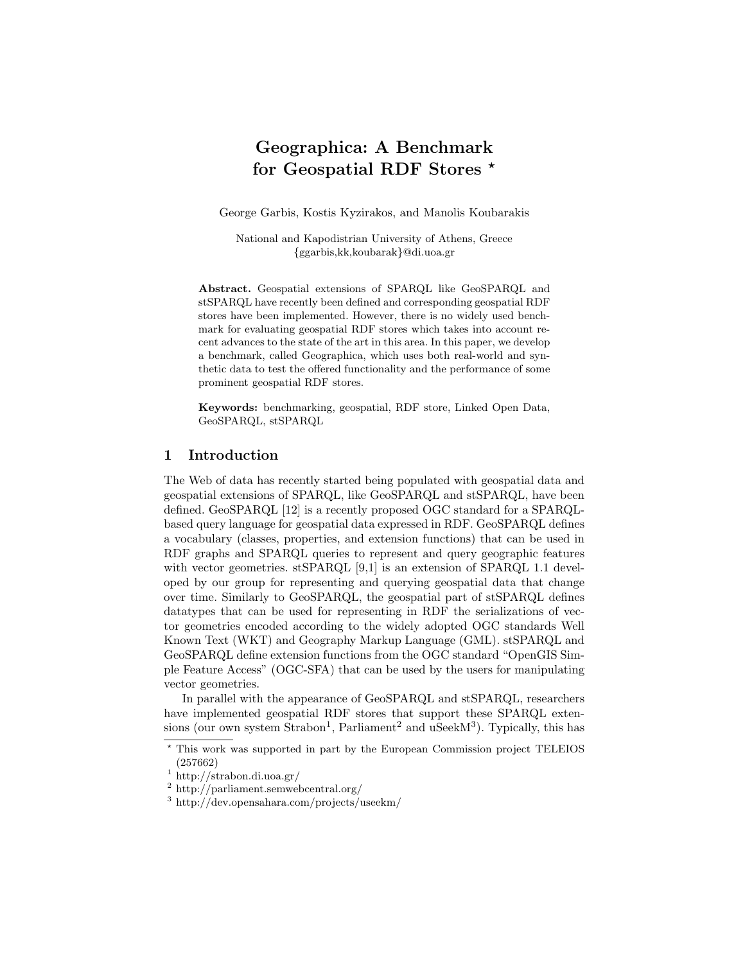# Geographica: A Benchmark for Geospatial RDF Stores \*

George Garbis, Kostis Kyzirakos, and Manolis Koubarakis

National and Kapodistrian University of Athens, Greece {ggarbis,kk,koubarak}@di.uoa.gr

Abstract. Geospatial extensions of SPARQL like GeoSPARQL and stSPARQL have recently been defined and corresponding geospatial RDF stores have been implemented. However, there is no widely used benchmark for evaluating geospatial RDF stores which takes into account recent advances to the state of the art in this area. In this paper, we develop a benchmark, called Geographica, which uses both real-world and synthetic data to test the offered functionality and the performance of some prominent geospatial RDF stores.

Keywords: benchmarking, geospatial, RDF store, Linked Open Data, GeoSPARQL, stSPARQL

### 1 Introduction

The Web of data has recently started being populated with geospatial data and geospatial extensions of SPARQL, like GeoSPARQL and stSPARQL, have been defined. GeoSPARQL [12] is a recently proposed OGC standard for a SPARQLbased query language for geospatial data expressed in RDF. GeoSPARQL defines a vocabulary (classes, properties, and extension functions) that can be used in RDF graphs and SPARQL queries to represent and query geographic features with vector geometries. stSPARQL  $[9,1]$  is an extension of SPARQL 1.1 developed by our group for representing and querying geospatial data that change over time. Similarly to GeoSPARQL, the geospatial part of stSPARQL defines datatypes that can be used for representing in RDF the serializations of vector geometries encoded according to the widely adopted OGC standards Well Known Text (WKT) and Geography Markup Language (GML). stSPARQL and GeoSPARQL define extension functions from the OGC standard "OpenGIS Simple Feature Access" (OGC-SFA) that can be used by the users for manipulating vector geometries.

In parallel with the appearance of GeoSPARQL and stSPARQL, researchers have implemented geospatial RDF stores that support these SPARQL extensions (our own system Strabon<sup>1</sup>, Parliament<sup>2</sup> and uSeekM<sup>3</sup>). Typically, this has

<sup>?</sup> This work was supported in part by the European Commission project TELEIOS (257662)

<sup>1</sup> http://strabon.di.uoa.gr/

<sup>2</sup> http://parliament.semwebcentral.org/

 $3 \text{ http://dev.opensahara.com/projects/useekm/}$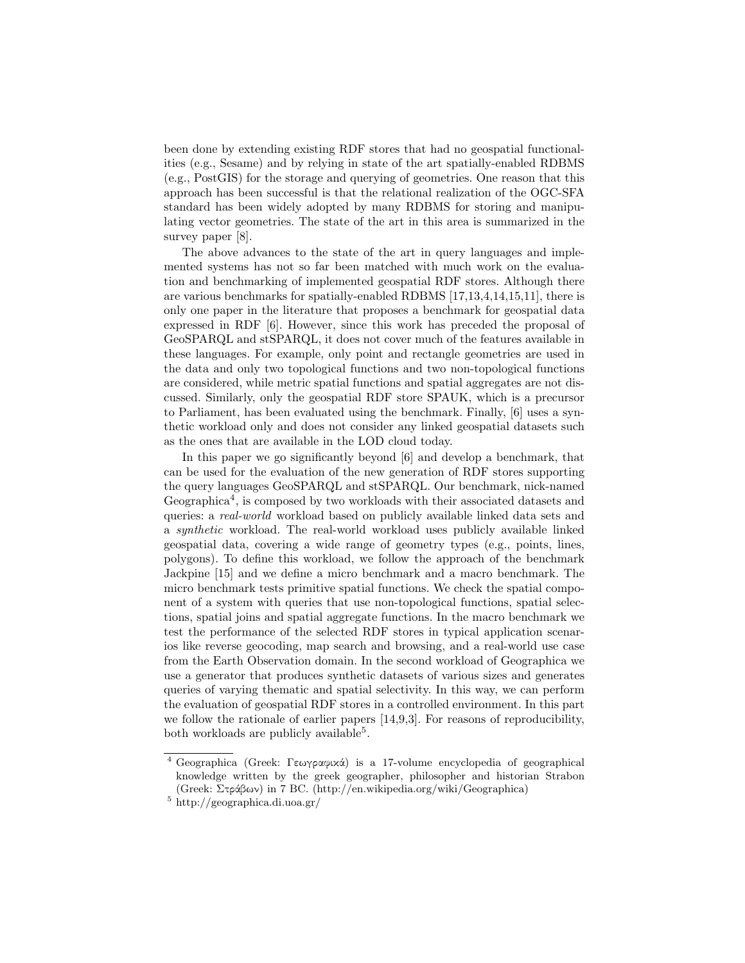been done by extending existing RDF stores that had no geospatial functionalities (e.g., Sesame) and by relying in state of the art spatially-enabled RDBMS (e.g., PostGIS) for the storage and querying of geometries. One reason that this approach has been successful is that the relational realization of the OGC-SFA standard has been widely adopted by many RDBMS for storing and manipulating vector geometries. The state of the art in this area is summarized in the survey paper [8].

The above advances to the state of the art in query languages and implemented systems has not so far been matched with much work on the evaluation and benchmarking of implemented geospatial RDF stores. Although there are various benchmarks for spatially-enabled RDBMS [17,13,4,14,15,11], there is only one paper in the literature that proposes a benchmark for geospatial data expressed in RDF [6]. However, since this work has preceded the proposal of GeoSPARQL and stSPARQL, it does not cover much of the features available in these languages. For example, only point and rectangle geometries are used in the data and only two topological functions and two non-topological functions are considered, while metric spatial functions and spatial aggregates are not discussed. Similarly, only the geospatial RDF store SPAUK, which is a precursor to Parliament, has been evaluated using the benchmark. Finally, [6] uses a synthetic workload only and does not consider any linked geospatial datasets such as the ones that are available in the LOD cloud today.

In this paper we go significantly beyond [6] and develop a benchmark, that can be used for the evaluation of the new generation of RDF stores supporting the query languages GeoSPARQL and stSPARQL. Our benchmark, nick-named Geographica<sup>4</sup>, is composed by two workloads with their associated datasets and queries: a real-world workload based on publicly available linked data sets and a synthetic workload. The real-world workload uses publicly available linked geospatial data, covering a wide range of geometry types (e.g., points, lines, polygons). To define this workload, we follow the approach of the benchmark Jackpine [15] and we define a micro benchmark and a macro benchmark. The micro benchmark tests primitive spatial functions. We check the spatial component of a system with queries that use non-topological functions, spatial selections, spatial joins and spatial aggregate functions. In the macro benchmark we test the performance of the selected RDF stores in typical application scenarios like reverse geocoding, map search and browsing, and a real-world use case from the Earth Observation domain. In the second workload of Geographica we use a generator that produces synthetic datasets of various sizes and generates queries of varying thematic and spatial selectivity. In this way, we can perform the evaluation of geospatial RDF stores in a controlled environment. In this part we follow the rationale of earlier papers [14,9,3]. For reasons of reproducibility, both workloads are publicly available<sup>5</sup>.

<sup>4</sup> Geographica (Greek: Γεωγραφικά) is a 17-volume encyclopedia of geographical knowledge written by the greek geographer, philosopher and historian Strabon (Greek: Στράβων) in 7 BC. (http://en.wikipedia.org/wiki/Geographica)

<sup>5</sup> http://geographica.di.uoa.gr/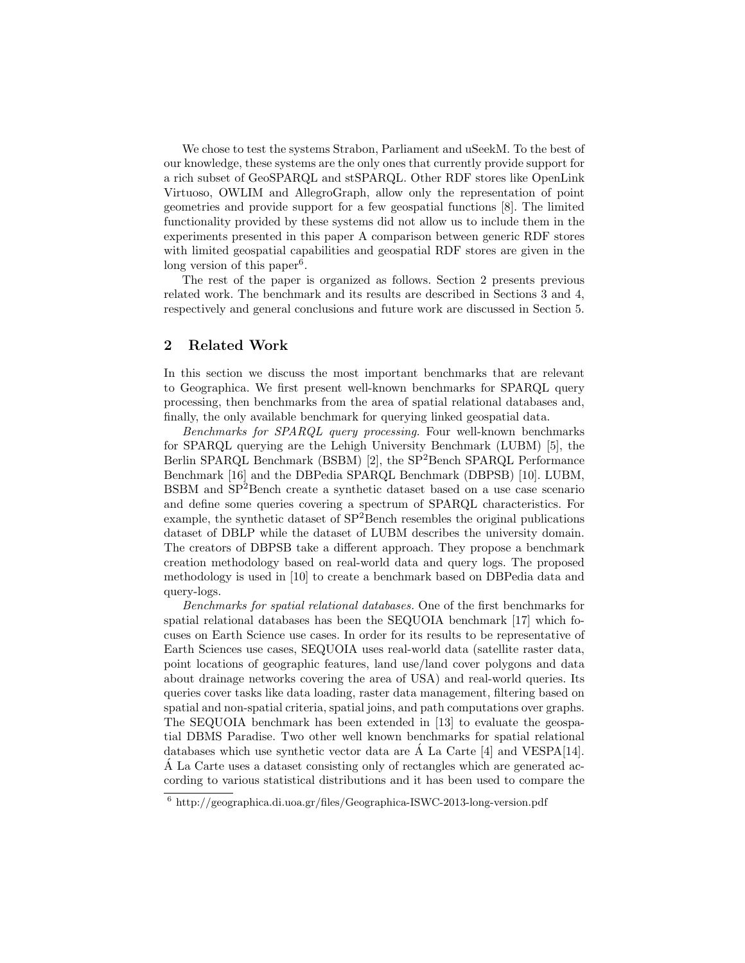We chose to test the systems Strabon, Parliament and uSeekM. To the best of our knowledge, these systems are the only ones that currently provide support for a rich subset of GeoSPARQL and stSPARQL. Other RDF stores like OpenLink Virtuoso, OWLIM and AllegroGraph, allow only the representation of point geometries and provide support for a few geospatial functions [8]. The limited functionality provided by these systems did not allow us to include them in the experiments presented in this paper A comparison between generic RDF stores with limited geospatial capabilities and geospatial RDF stores are given in the long version of this paper<sup>6</sup>.

The rest of the paper is organized as follows. Section 2 presents previous related work. The benchmark and its results are described in Sections 3 and 4, respectively and general conclusions and future work are discussed in Section 5.

# 2 Related Work

In this section we discuss the most important benchmarks that are relevant to Geographica. We first present well-known benchmarks for SPARQL query processing, then benchmarks from the area of spatial relational databases and, finally, the only available benchmark for querying linked geospatial data.

Benchmarks for SPARQL query processing. Four well-known benchmarks for SPARQL querying are the Lehigh University Benchmark (LUBM) [5], the Berlin SPARQL Benchmark (BSBM) [2], the SP<sup>2</sup>Bench SPARQL Performance Benchmark [16] and the DBPedia SPARQL Benchmark (DBPSB) [10]. LUBM, BSBM and SP<sup>2</sup>Bench create a synthetic dataset based on a use case scenario and define some queries covering a spectrum of SPARQL characteristics. For example, the synthetic dataset of SP<sup>2</sup>Bench resembles the original publications dataset of DBLP while the dataset of LUBM describes the university domain. The creators of DBPSB take a different approach. They propose a benchmark creation methodology based on real-world data and query logs. The proposed methodology is used in [10] to create a benchmark based on DBPedia data and query-logs.

Benchmarks for spatial relational databases. One of the first benchmarks for spatial relational databases has been the SEQUOIA benchmark [17] which focuses on Earth Science use cases. In order for its results to be representative of Earth Sciences use cases, SEQUOIA uses real-world data (satellite raster data, point locations of geographic features, land use/land cover polygons and data about drainage networks covering the area of USA) and real-world queries. Its queries cover tasks like data loading, raster data management, filtering based on spatial and non-spatial criteria, spatial joins, and path computations over graphs. The SEQUOIA benchmark has been extended in [13] to evaluate the geospatial DBMS Paradise. Two other well known benchmarks for spatial relational databases which use synthetic vector data are  $\hat{A}$  La Carte [4] and VESPA[14]. A La Carte uses a dataset consisting only of rectangles which are generated ac- ´ cording to various statistical distributions and it has been used to compare the

 $6$  http://geographica.di.uoa.gr/files/Geographica-ISWC-2013-long-version.pdf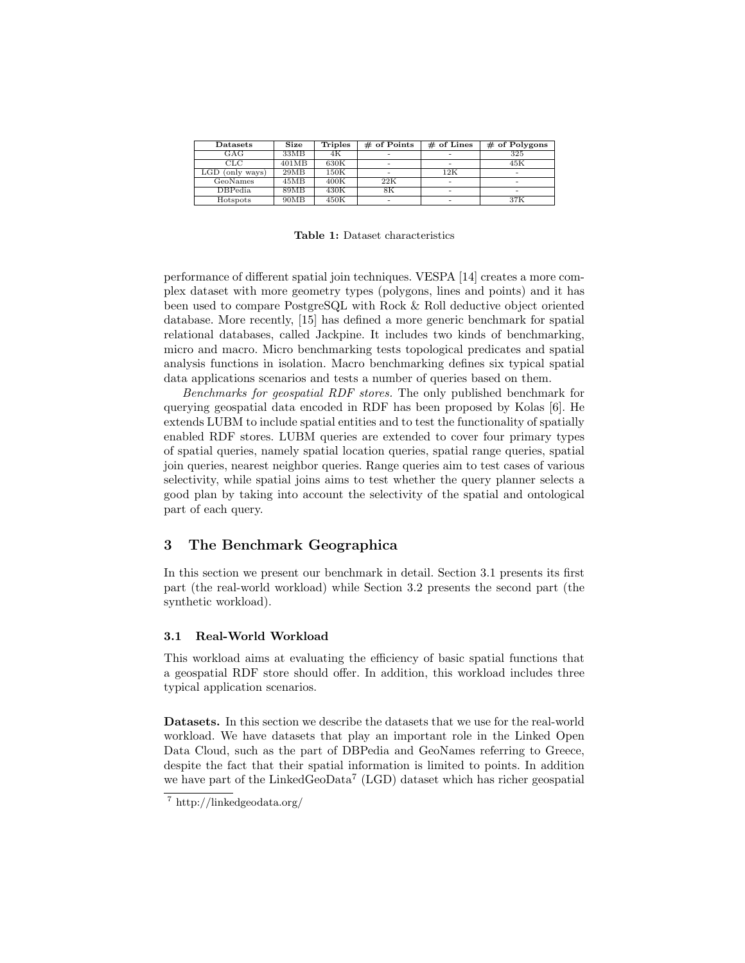| Datasets          | Size  | <b>Triples</b> | $#$ of Points            | $#$ of Lines | $#$ of Polygons |
|-------------------|-------|----------------|--------------------------|--------------|-----------------|
| GAG               | 33MB  | 4Κ             | $\overline{\phantom{0}}$ |              | 325             |
| $_{CLC}$          | 401MB | 630K           | $\overline{\phantom{0}}$ | -            | 45K             |
| $LGD$ (only ways) | 29MB  | 150K           | $\overline{\phantom{a}}$ | 12K          | -               |
| GeoNames          | 45MB  | 400K           | 22K                      |              |                 |
| <b>DBPedia</b>    | 89MB  | 430K           | 8K                       |              |                 |
| Hotspots          | 90MB  | 450K           | $\overline{\phantom{0}}$ |              | 37K             |

Table 1: Dataset characteristics

performance of different spatial join techniques. VESPA [14] creates a more complex dataset with more geometry types (polygons, lines and points) and it has been used to compare PostgreSQL with Rock & Roll deductive object oriented database. More recently, [15] has defined a more generic benchmark for spatial relational databases, called Jackpine. It includes two kinds of benchmarking, micro and macro. Micro benchmarking tests topological predicates and spatial analysis functions in isolation. Macro benchmarking defines six typical spatial data applications scenarios and tests a number of queries based on them.

Benchmarks for geospatial RDF stores. The only published benchmark for querying geospatial data encoded in RDF has been proposed by Kolas [6]. He extends LUBM to include spatial entities and to test the functionality of spatially enabled RDF stores. LUBM queries are extended to cover four primary types of spatial queries, namely spatial location queries, spatial range queries, spatial join queries, nearest neighbor queries. Range queries aim to test cases of various selectivity, while spatial joins aims to test whether the query planner selects a good plan by taking into account the selectivity of the spatial and ontological part of each query.

# 3 The Benchmark Geographica

In this section we present our benchmark in detail. Section 3.1 presents its first part (the real-world workload) while Section 3.2 presents the second part (the synthetic workload).

#### 3.1 Real-World Workload

This workload aims at evaluating the efficiency of basic spatial functions that a geospatial RDF store should offer. In addition, this workload includes three typical application scenarios.

Datasets. In this section we describe the datasets that we use for the real-world workload. We have datasets that play an important role in the Linked Open Data Cloud, such as the part of DBPedia and GeoNames referring to Greece, despite the fact that their spatial information is limited to points. In addition we have part of the LinkedGeoData<sup>7</sup> (LGD) dataset which has richer geospatial

<sup>7</sup> http://linkedgeodata.org/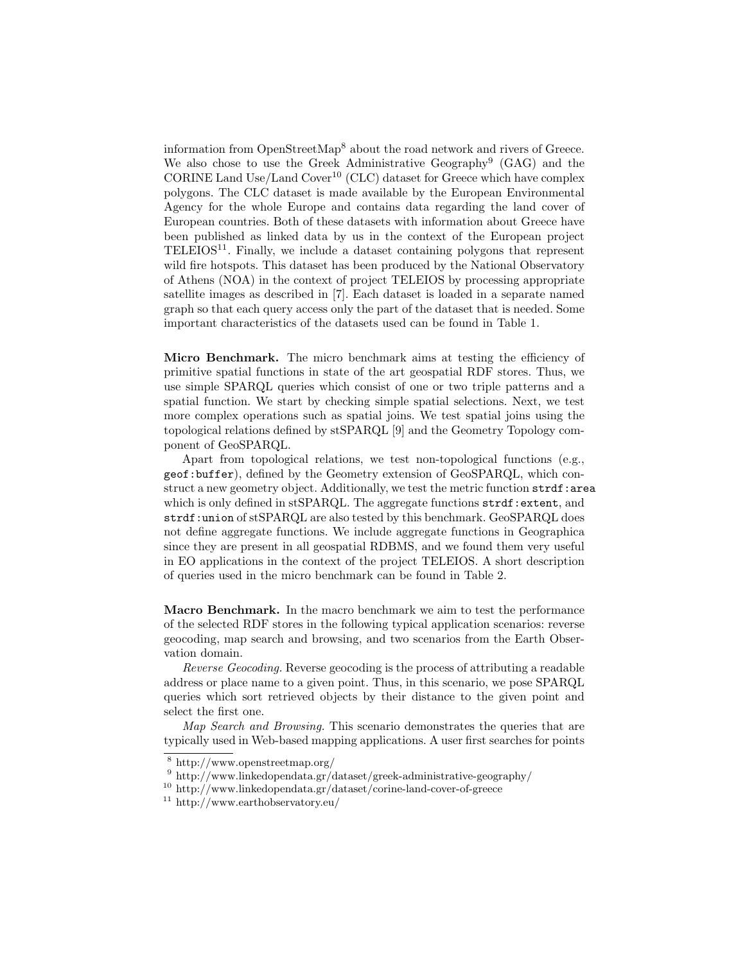information from OpenStreetMap<sup>8</sup> about the road network and rivers of Greece. We also chose to use the Greek Administrative Geography<sup>9</sup> (GAG) and the CORINE Land Use/Land Cover<sup>10</sup> (CLC) dataset for Greece which have complex polygons. The CLC dataset is made available by the European Environmental Agency for the whole Europe and contains data regarding the land cover of European countries. Both of these datasets with information about Greece have been published as linked data by us in the context of the European project  $TELEIOS<sup>11</sup>$ . Finally, we include a dataset containing polygons that represent wild fire hotspots. This dataset has been produced by the National Observatory of Athens (NOA) in the context of project TELEIOS by processing appropriate satellite images as described in [7]. Each dataset is loaded in a separate named graph so that each query access only the part of the dataset that is needed. Some important characteristics of the datasets used can be found in Table 1.

Micro Benchmark. The micro benchmark aims at testing the efficiency of primitive spatial functions in state of the art geospatial RDF stores. Thus, we use simple SPARQL queries which consist of one or two triple patterns and a spatial function. We start by checking simple spatial selections. Next, we test more complex operations such as spatial joins. We test spatial joins using the topological relations defined by stSPARQL [9] and the Geometry Topology component of GeoSPARQL.

Apart from topological relations, we test non-topological functions (e.g., geof:buffer), defined by the Geometry extension of GeoSPARQL, which construct a new geometry object. Additionally, we test the metric function strdf:area which is only defined in stSPARQL. The aggregate functions strdf: extent, and strdf:union of stSPARQL are also tested by this benchmark. GeoSPARQL does not define aggregate functions. We include aggregate functions in Geographica since they are present in all geospatial RDBMS, and we found them very useful in EO applications in the context of the project TELEIOS. A short description of queries used in the micro benchmark can be found in Table 2.

Macro Benchmark. In the macro benchmark we aim to test the performance of the selected RDF stores in the following typical application scenarios: reverse geocoding, map search and browsing, and two scenarios from the Earth Observation domain.

Reverse Geocoding. Reverse geocoding is the process of attributing a readable address or place name to a given point. Thus, in this scenario, we pose SPARQL queries which sort retrieved objects by their distance to the given point and select the first one.

Map Search and Browsing. This scenario demonstrates the queries that are typically used in Web-based mapping applications. A user first searches for points

<sup>8</sup> http://www.openstreetmap.org/

<sup>9</sup> http://www.linkedopendata.gr/dataset/greek-administrative-geography/

<sup>10</sup> http://www.linkedopendata.gr/dataset/corine-land-cover-of-greece

<sup>11</sup> http://www.earthobservatory.eu/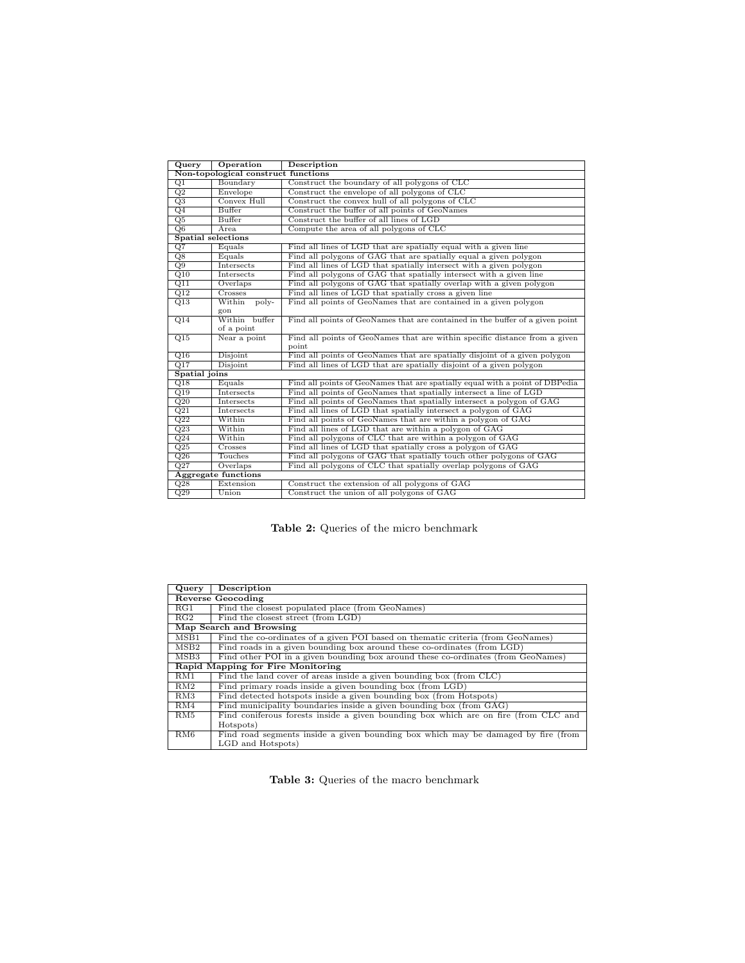| Query            | Operation                           | Description                                                                   |
|------------------|-------------------------------------|-------------------------------------------------------------------------------|
|                  | Non-topological construct functions |                                                                               |
| Q1               | Boundary                            | Construct the boundary of all polygons of CLC                                 |
| $\overline{Q2}$  | Envelope                            | Construct the envelope of all polygons of CLC                                 |
| $\overline{Q3}$  | Convex Hull                         | Construct the convex hull of all polygons of CLC                              |
| $\overline{Q4}$  | Buffer                              | Construct the buffer of all points of GeoNames                                |
| $\overline{Q5}$  | Buffer                              | Construct the buffer of all lines of LGD                                      |
| Q <sub>6</sub>   | Area                                | Compute the area of all polygons of CLC                                       |
|                  | <b>Spatial selections</b>           |                                                                               |
| Q7               | Equals                              | Find all lines of LGD that are spatially equal with a given line              |
| $\overline{Q8}$  | Equals                              | Find all polygons of GAG that are spatially equal a given polygon             |
| Q9               | <b>Intersects</b>                   | Find all lines of LGD that spatially intersect with a given polygon           |
| $\overline{Q10}$ | <b>Intersects</b>                   | Find all polygons of GAG that spatially intersect with a given line           |
| Q11              | Overlaps                            | Find all polygons of GAG that spatially overlap with a given polygon          |
| $\overline{Q12}$ | Crosses                             | Find all lines of LGD that spatially cross a given line                       |
| $\overline{Q13}$ | Within<br>poly-                     | Find all points of GeoNames that are contained in a given polygon             |
|                  | gon                                 |                                                                               |
| Q14              | Within buffer                       | Find all points of GeoNames that are contained in the buffer of a given point |
|                  | of a point                          |                                                                               |
| Q15              | Near a point                        | Find all points of GeoNames that are within specific distance from a given    |
|                  |                                     | point                                                                         |
| $\overline{Q16}$ | Disjoint                            | Find all points of GeoNames that are spatially disjoint of a given polygon    |
| Q17              | Disjoint                            | Find all lines of LGD that are spatially disjoint of a given polygon          |
| Spatial joins    |                                     |                                                                               |
| $\overline{Q18}$ | Equals                              | Find all points of GeoNames that are spatially equal with a point of DBPedia  |
| $\overline{Q19}$ | <b>Intersects</b>                   | Find all points of GeoNames that spatially intersect a line of LGD            |
| $\overline{Q20}$ | <b>Intersects</b>                   | Find all points of GeoNames that spatially intersect a polygon of GAG         |
| $\overline{Q21}$ | Intersects                          | Find all lines of LGD that spatially intersect a polygon of GAG               |
| $\overline{Q22}$ | Within                              | Find all points of GeoNames that are within a polygon of GAG                  |
| Q23              | Within                              | Find all lines of LGD that are within a polygon of GAG                        |
| Q24              | Within                              | Find all polygons of CLC that are within a polygon of GAG                     |
| Q25              | Crosses                             | Find all lines of LGD that spatially cross a polygon of GAG                   |
| $\overline{Q26}$ | <b>Touches</b>                      | Find all polygons of GAG that spatially touch other polygons of GAG           |
| $\overline{Q27}$ | Overlaps                            | Find all polygons of CLC that spatially overlap polygons of GAG               |
|                  | <b>Aggregate functions</b>          |                                                                               |
| $\overline{Q28}$ | Extension                           | Construct the extension of all polygons of GAG                                |
| $\overline{Q29}$ | Union                               | Construct the union of all polygons of GAG                                    |

Table 2: Queries of the micro benchmark

| Query                             | Description                                                                         |  |  |  |  |  |
|-----------------------------------|-------------------------------------------------------------------------------------|--|--|--|--|--|
| <b>Reverse Geocoding</b>          |                                                                                     |  |  |  |  |  |
| RG1                               | Find the closest populated place (from GeoNames)                                    |  |  |  |  |  |
| RG2                               | Find the closest street (from LGD)                                                  |  |  |  |  |  |
| Map Search and Browsing           |                                                                                     |  |  |  |  |  |
| MSB1                              | Find the co-ordinates of a given POI based on the matic criteria (from GeoNames)    |  |  |  |  |  |
| $_{\rm MSB2}$                     | Find roads in a given bounding box around these co-ordinates (from LGD)             |  |  |  |  |  |
| MSB3                              | Find other POI in a given bounding box around these co-ordinates (from GeoNames)    |  |  |  |  |  |
| Rapid Mapping for Fire Monitoring |                                                                                     |  |  |  |  |  |
| RM1                               | Find the land cover of areas inside a given bounding box (from CLC)                 |  |  |  |  |  |
| RM2                               | Find primary roads inside a given bounding box (from LGD)                           |  |  |  |  |  |
| RM3                               | Find detected hotspots inside a given bounding box (from Hotspots)                  |  |  |  |  |  |
| RM4                               | Find municipality boundaries inside a given bounding box (from GAG)                 |  |  |  |  |  |
| RM5                               | Find coniferous forests inside a given bounding box which are on fire (from CLC and |  |  |  |  |  |
|                                   | Hotspots)                                                                           |  |  |  |  |  |
| RM6                               | Find road segments inside a given bounding box which may be damaged by fire (from   |  |  |  |  |  |
|                                   | LGD and Hotspots)                                                                   |  |  |  |  |  |

Table 3: Queries of the macro benchmark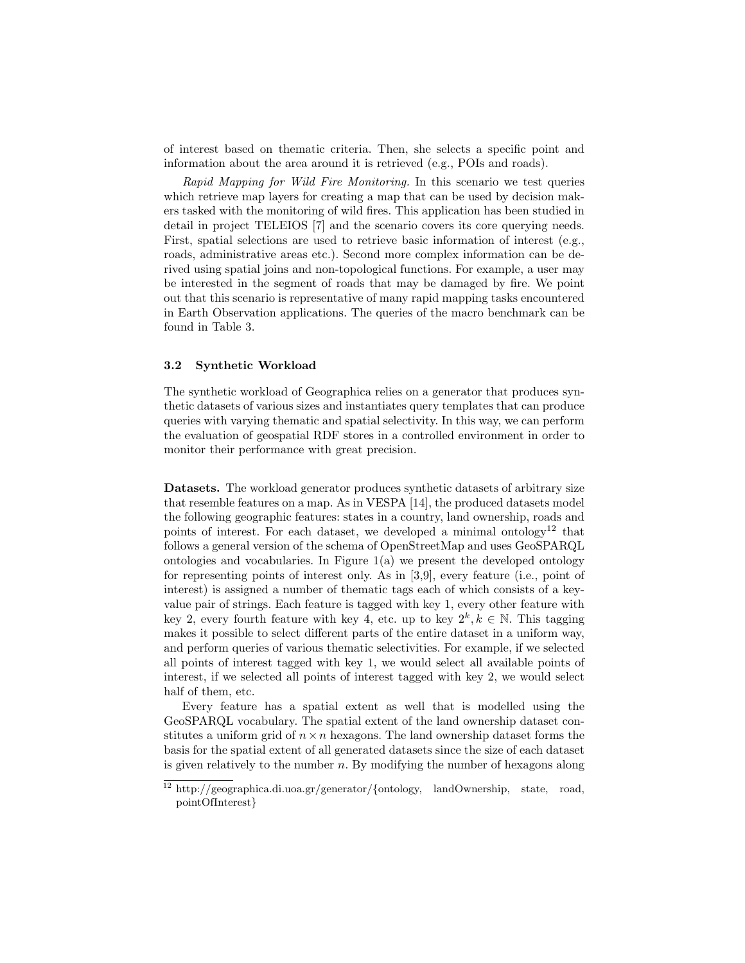of interest based on thematic criteria. Then, she selects a specific point and information about the area around it is retrieved (e.g., POIs and roads).

Rapid Mapping for Wild Fire Monitoring. In this scenario we test queries which retrieve map layers for creating a map that can be used by decision makers tasked with the monitoring of wild fires. This application has been studied in detail in project TELEIOS [7] and the scenario covers its core querying needs. First, spatial selections are used to retrieve basic information of interest (e.g., roads, administrative areas etc.). Second more complex information can be derived using spatial joins and non-topological functions. For example, a user may be interested in the segment of roads that may be damaged by fire. We point out that this scenario is representative of many rapid mapping tasks encountered in Earth Observation applications. The queries of the macro benchmark can be found in Table 3.

#### 3.2 Synthetic Workload

The synthetic workload of Geographica relies on a generator that produces synthetic datasets of various sizes and instantiates query templates that can produce queries with varying thematic and spatial selectivity. In this way, we can perform the evaluation of geospatial RDF stores in a controlled environment in order to monitor their performance with great precision.

Datasets. The workload generator produces synthetic datasets of arbitrary size that resemble features on a map. As in VESPA [14], the produced datasets model the following geographic features: states in a country, land ownership, roads and points of interest. For each dataset, we developed a minimal ontology<sup>12</sup> that follows a general version of the schema of OpenStreetMap and uses GeoSPARQL ontologies and vocabularies. In Figure  $1(a)$  we present the developed ontology for representing points of interest only. As in [3,9], every feature (i.e., point of interest) is assigned a number of thematic tags each of which consists of a keyvalue pair of strings. Each feature is tagged with key 1, every other feature with key 2, every fourth feature with key 4, etc. up to key  $2^k, k \in \mathbb{N}$ . This tagging makes it possible to select different parts of the entire dataset in a uniform way, and perform queries of various thematic selectivities. For example, if we selected all points of interest tagged with key 1, we would select all available points of interest, if we selected all points of interest tagged with key 2, we would select half of them, etc.

Every feature has a spatial extent as well that is modelled using the GeoSPARQL vocabulary. The spatial extent of the land ownership dataset constitutes a uniform grid of  $n \times n$  hexagons. The land ownership dataset forms the basis for the spatial extent of all generated datasets since the size of each dataset is given relatively to the number  $n$ . By modifying the number of hexagons along

 $12 \text{ http://geographica.di.uoa.gr/generator//\ontology, landOwnership, state, road,}$ pointOfInterest}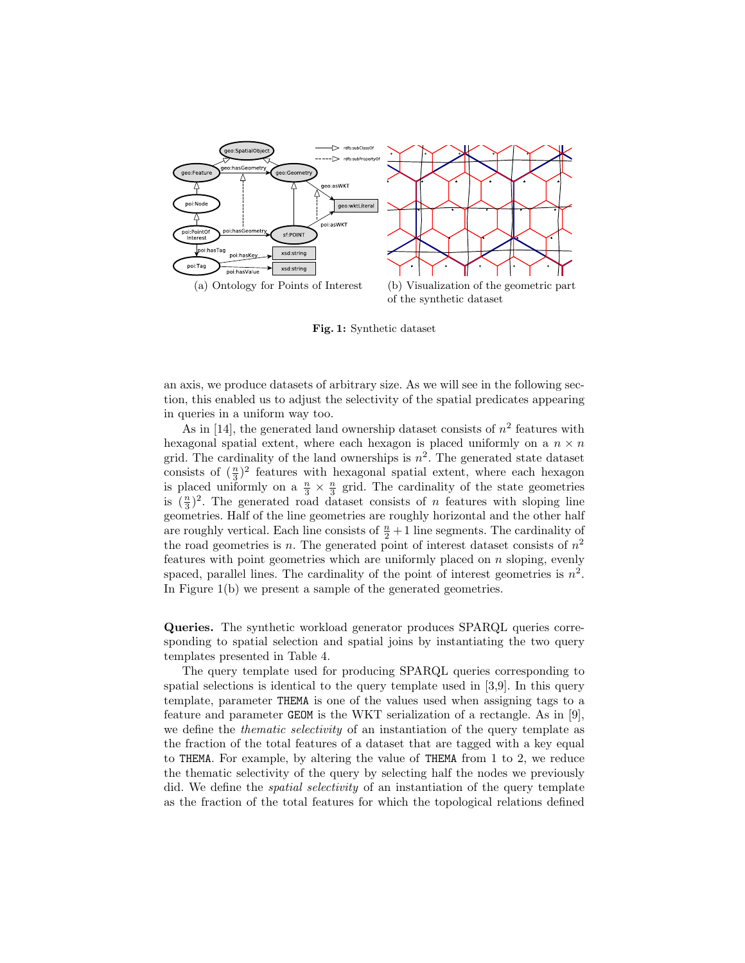

Fig. 1: Synthetic dataset

an axis, we produce datasets of arbitrary size. As we will see in the following section, this enabled us to adjust the selectivity of the spatial predicates appearing in queries in a uniform way too.

As in [14], the generated land ownership dataset consists of  $n^2$  features with hexagonal spatial extent, where each hexagon is placed uniformly on a  $n \times n$ grid. The cardinality of the land ownerships is  $n^2$ . The generated state dataset consists of  $(\frac{n}{3})^2$  features with hexagonal spatial extent, where each hexagon is placed uniformly on a  $\frac{n}{3} \times \frac{n}{3}$  grid. The cardinality of the state geometries is  $(\frac{n}{3})^2$ . The generated road dataset consists of *n* features with sloping line geometries. Half of the line geometries are roughly horizontal and the other half are roughly vertical. Each line consists of  $\frac{n}{2} + 1$  line segments. The cardinality of the road geometries is n. The generated point of interest dataset consists of  $n^2$ features with point geometries which are uniformly placed on  $n$  sloping, evenly spaced, parallel lines. The cardinality of the point of interest geometries is  $n^2$ . In Figure 1(b) we present a sample of the generated geometries.

Queries. The synthetic workload generator produces SPARQL queries corresponding to spatial selection and spatial joins by instantiating the two query templates presented in Table 4.

The query template used for producing SPARQL queries corresponding to spatial selections is identical to the query template used in [3,9]. In this query template, parameter THEMA is one of the values used when assigning tags to a feature and parameter GEOM is the WKT serialization of a rectangle. As in [9], we define the thematic selectivity of an instantiation of the query template as the fraction of the total features of a dataset that are tagged with a key equal to THEMA. For example, by altering the value of THEMA from 1 to 2, we reduce the thematic selectivity of the query by selecting half the nodes we previously did. We define the *spatial selectivity* of an instantiation of the query template as the fraction of the total features for which the topological relations defined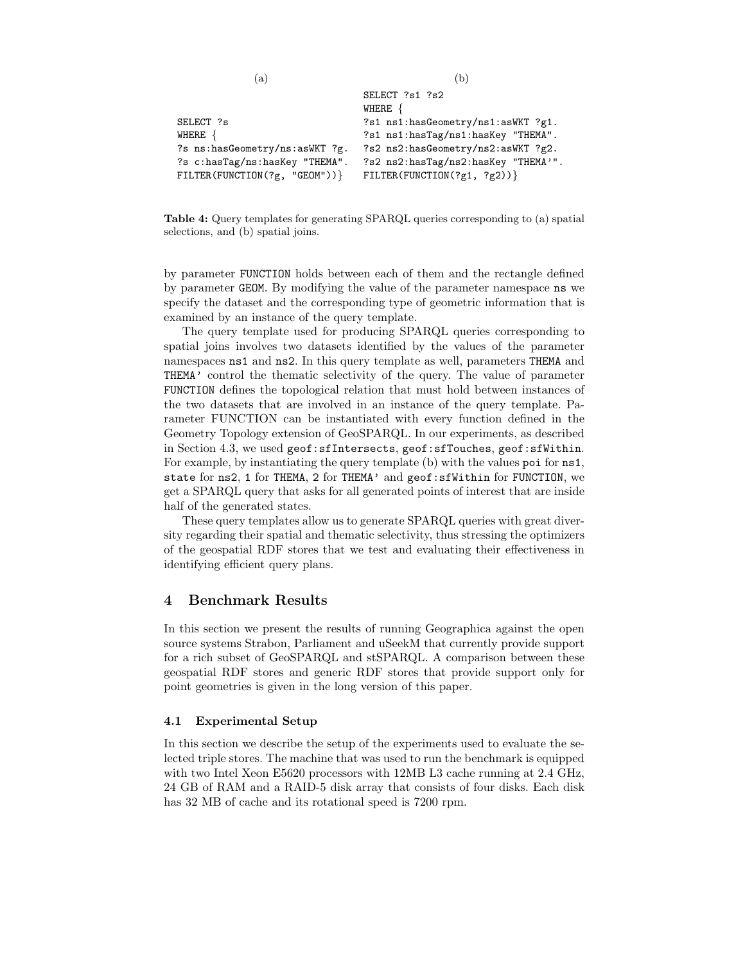| $\mathbf{a}$                      |                                     |  |  |  |  |
|-----------------------------------|-------------------------------------|--|--|--|--|
|                                   | SELECT ?s1 ?s2                      |  |  |  |  |
|                                   | WHERE {                             |  |  |  |  |
| SELECT ?s                         | ?s1 ns1:hasGeometry/ns1:asWKT ?g1.  |  |  |  |  |
| WHERE $\{$                        | ?s1 ns1:hasTag/ns1:hasKey "THEMA".  |  |  |  |  |
| ?s ns:hasGeometry/ns:asWKT ?g.    | ?s2 ns2:hasGeometry/ns2:asWKT ?g2.  |  |  |  |  |
| ?s c:hasTag/ns:hasKey "THEMA".    | ?s2 ns2:hasTag/ns2:hasKey "THEMA'". |  |  |  |  |
| FILTER(FUNCTION( $?g$ , "GEOM"))} | FILTER(FUNCTION( $?g1, ?g2$ ))}     |  |  |  |  |

Table 4: Query templates for generating SPARQL queries corresponding to (a) spatial selections, and (b) spatial joins.

by parameter FUNCTION holds between each of them and the rectangle defined by parameter GEOM. By modifying the value of the parameter namespace ns we specify the dataset and the corresponding type of geometric information that is examined by an instance of the query template.

The query template used for producing SPARQL queries corresponding to spatial joins involves two datasets identified by the values of the parameter namespaces ns1 and ns2. In this query template as well, parameters THEMA and THEMA' control the thematic selectivity of the query. The value of parameter FUNCTION defines the topological relation that must hold between instances of the two datasets that are involved in an instance of the query template. Parameter FUNCTION can be instantiated with every function defined in the Geometry Topology extension of GeoSPARQL. In our experiments, as described in Section 4.3, we used geof:sfIntersects, geof:sfTouches, geof:sfWithin. For example, by instantiating the query template (b) with the values poi for ns1, state for ns2, 1 for THEMA, 2 for THEMA' and geof:sfWithin for FUNCTION, we get a SPARQL query that asks for all generated points of interest that are inside half of the generated states.

These query templates allow us to generate SPARQL queries with great diversity regarding their spatial and thematic selectivity, thus stressing the optimizers of the geospatial RDF stores that we test and evaluating their effectiveness in identifying efficient query plans.

# 4 Benchmark Results

In this section we present the results of running Geographica against the open source systems Strabon, Parliament and uSeekM that currently provide support for a rich subset of GeoSPARQL and stSPARQL. A comparison between these geospatial RDF stores and generic RDF stores that provide support only for point geometries is given in the long version of this paper.

#### 4.1 Experimental Setup

In this section we describe the setup of the experiments used to evaluate the selected triple stores. The machine that was used to run the benchmark is equipped with two Intel Xeon E5620 processors with 12MB L3 cache running at 2.4 GHz, 24 GB of RAM and a RAID-5 disk array that consists of four disks. Each disk has 32 MB of cache and its rotational speed is 7200 rpm.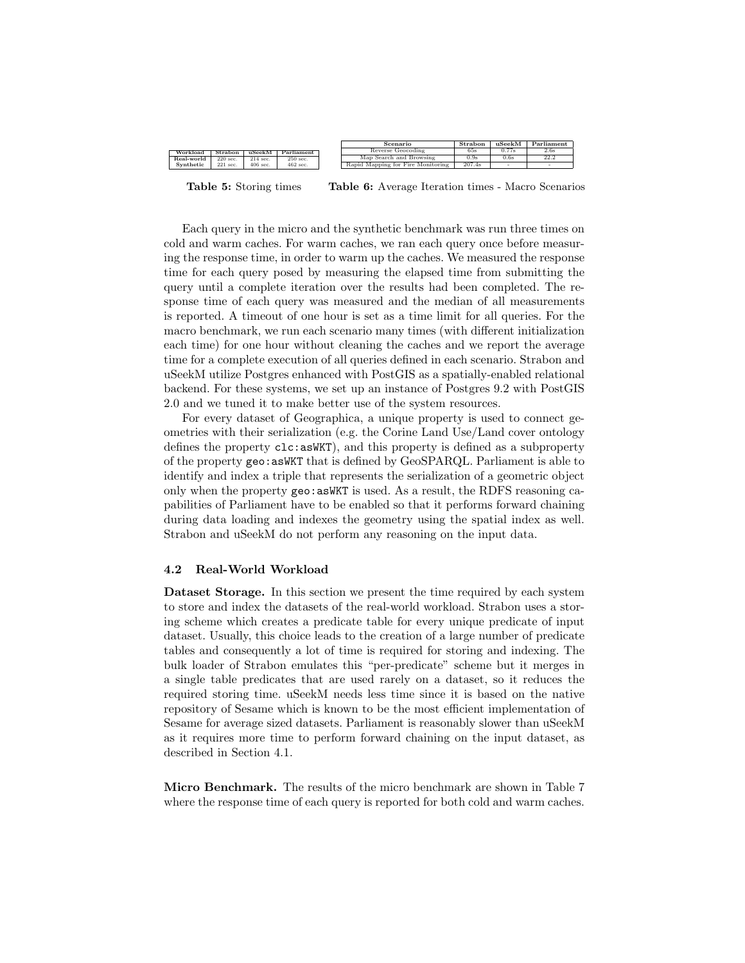|            |                    |                    |                   | Scenario                          | Strabon | uSeekM | <b>Parliament</b> |
|------------|--------------------|--------------------|-------------------|-----------------------------------|---------|--------|-------------------|
| Workload   | Strabon            | $n$ Seek $M$       | <b>Parliament</b> | Reverse Geocoding                 | 65s     |        | 2.6s              |
| Real-world | $220 \text{ sec.}$ | $214 \text{ sec.}$ | 250 sec.          | Map Search and Browsing           | 0.9s    | 0.6s   | 22.2              |
| Synthetic  | $221$ sec.         | $406$ sec.         | $462$ sec.        | Rapid Mapping for Fire Monitoring | 207.4s  |        |                   |
|            |                    |                    |                   |                                   |         |        |                   |

Table 5: Storing times Table 6: Average Iteration times - Macro Scenarios

Each query in the micro and the synthetic benchmark was run three times on cold and warm caches. For warm caches, we ran each query once before measuring the response time, in order to warm up the caches. We measured the response time for each query posed by measuring the elapsed time from submitting the query until a complete iteration over the results had been completed. The response time of each query was measured and the median of all measurements is reported. A timeout of one hour is set as a time limit for all queries. For the macro benchmark, we run each scenario many times (with different initialization each time) for one hour without cleaning the caches and we report the average time for a complete execution of all queries defined in each scenario. Strabon and uSeekM utilize Postgres enhanced with PostGIS as a spatially-enabled relational backend. For these systems, we set up an instance of Postgres 9.2 with PostGIS 2.0 and we tuned it to make better use of the system resources.

For every dataset of Geographica, a unique property is used to connect geometries with their serialization (e.g. the Corine Land Use/Land cover ontology defines the property clc:asWKT), and this property is defined as a subproperty of the property geo:asWKT that is defined by GeoSPARQL. Parliament is able to identify and index a triple that represents the serialization of a geometric object only when the property geo:asWKT is used. As a result, the RDFS reasoning capabilities of Parliament have to be enabled so that it performs forward chaining during data loading and indexes the geometry using the spatial index as well. Strabon and uSeekM do not perform any reasoning on the input data.

#### 4.2 Real-World Workload

Dataset Storage. In this section we present the time required by each system to store and index the datasets of the real-world workload. Strabon uses a storing scheme which creates a predicate table for every unique predicate of input dataset. Usually, this choice leads to the creation of a large number of predicate tables and consequently a lot of time is required for storing and indexing. The bulk loader of Strabon emulates this "per-predicate" scheme but it merges in a single table predicates that are used rarely on a dataset, so it reduces the required storing time. uSeekM needs less time since it is based on the native repository of Sesame which is known to be the most efficient implementation of Sesame for average sized datasets. Parliament is reasonably slower than uSeekM as it requires more time to perform forward chaining on the input dataset, as described in Section 4.1.

Micro Benchmark. The results of the micro benchmark are shown in Table 7 where the response time of each query is reported for both cold and warm caches.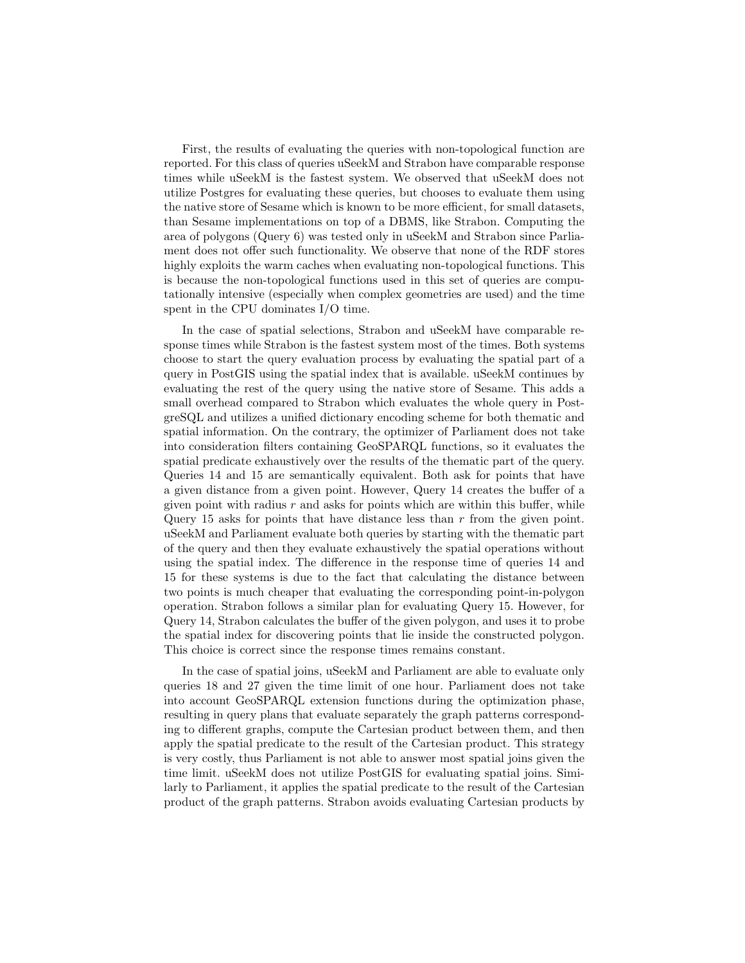First, the results of evaluating the queries with non-topological function are reported. For this class of queries uSeekM and Strabon have comparable response times while uSeekM is the fastest system. We observed that uSeekM does not utilize Postgres for evaluating these queries, but chooses to evaluate them using the native store of Sesame which is known to be more efficient, for small datasets, than Sesame implementations on top of a DBMS, like Strabon. Computing the area of polygons (Query 6) was tested only in uSeekM and Strabon since Parliament does not offer such functionality. We observe that none of the RDF stores highly exploits the warm caches when evaluating non-topological functions. This is because the non-topological functions used in this set of queries are computationally intensive (especially when complex geometries are used) and the time spent in the CPU dominates I/O time.

In the case of spatial selections, Strabon and uSeekM have comparable response times while Strabon is the fastest system most of the times. Both systems choose to start the query evaluation process by evaluating the spatial part of a query in PostGIS using the spatial index that is available. uSeekM continues by evaluating the rest of the query using the native store of Sesame. This adds a small overhead compared to Strabon which evaluates the whole query in PostgreSQL and utilizes a unified dictionary encoding scheme for both thematic and spatial information. On the contrary, the optimizer of Parliament does not take into consideration filters containing GeoSPARQL functions, so it evaluates the spatial predicate exhaustively over the results of the thematic part of the query. Queries 14 and 15 are semantically equivalent. Both ask for points that have a given distance from a given point. However, Query 14 creates the buffer of a given point with radius  $r$  and asks for points which are within this buffer, while Query 15 asks for points that have distance less than r from the given point. uSeekM and Parliament evaluate both queries by starting with the thematic part of the query and then they evaluate exhaustively the spatial operations without using the spatial index. The difference in the response time of queries 14 and 15 for these systems is due to the fact that calculating the distance between two points is much cheaper that evaluating the corresponding point-in-polygon operation. Strabon follows a similar plan for evaluating Query 15. However, for Query 14, Strabon calculates the buffer of the given polygon, and uses it to probe the spatial index for discovering points that lie inside the constructed polygon. This choice is correct since the response times remains constant.

In the case of spatial joins, uSeekM and Parliament are able to evaluate only queries 18 and 27 given the time limit of one hour. Parliament does not take into account GeoSPARQL extension functions during the optimization phase, resulting in query plans that evaluate separately the graph patterns corresponding to different graphs, compute the Cartesian product between them, and then apply the spatial predicate to the result of the Cartesian product. This strategy is very costly, thus Parliament is not able to answer most spatial joins given the time limit. uSeekM does not utilize PostGIS for evaluating spatial joins. Similarly to Parliament, it applies the spatial predicate to the result of the Cartesian product of the graph patterns. Strabon avoids evaluating Cartesian products by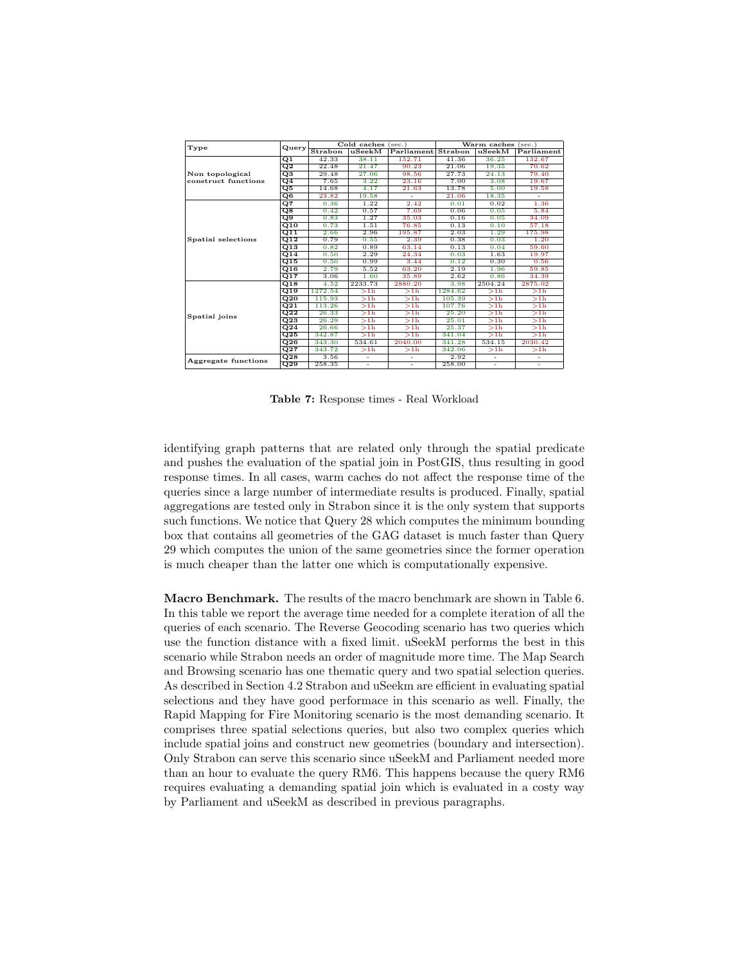|                     | Query            | Cold caches (sec.) |                 |                 | Warm caches (sec.) |                 |                 |
|---------------------|------------------|--------------------|-----------------|-----------------|--------------------|-----------------|-----------------|
| Type                |                  | Strabon            | uSeekM          | Parliament      | Strabon            | uSeekM          | Parliament      |
|                     | Q1               | 42.33              | 38.11           | 152.71          | 41.36              | 36.25           | 132.67          |
|                     | Q2               | 22.48              | 21.47           | 90.23           | 21.06              | 19.35           | 70.62           |
| Non topological     | $\overline{Q3}$  | 29.48              | 27.06           | 98.56           | 27.73              | 24.13           | 79.40           |
| construct functions | $\overline{Q4}$  | 7.65               | 3.22            | 23.16           | 7.00               | 3.08            | 19.67           |
|                     | $\overline{Q5}$  | 14.68              | 4.17            | 21.63           | 13.78              | 5.00            | 19.58           |
|                     | $\overline{Q6}$  | 23.82              | 19.58           | ٠               | 21.06              | 18.35           | ٠               |
|                     | Q7               | 0.36               | 1.22            | 2.42            | 0.01               | 0.02            | 1.36            |
|                     | $\overline{Q8}$  | 0.42               | 0.57            | 7.69            | 0.06               | 0.05            | 5.84            |
|                     | $\overline{Q9}$  | 0.83               | 1.27            | 35.03           | 0.16               | 0.05            | 34.09           |
|                     | $\overline{Q10}$ | 0.73               | 1.51            | 76.85           | 0.13               | 0.10            | 57.18           |
|                     | Q11              | 2.66               | 2.96            | 195.87          | 2.03               | 1.29            | 175.98          |
| Spatial selections  | Q12              | 0.79               | 0.55            | 2.39            | 0.38               | 0.03            | 1.20            |
|                     | Q13              | 0.82               | 0.89            | 63.14           | 0.13               | 0.04            | 59.60           |
|                     | Q14              | 0.50               | 2.29            | 24.34           | 0.03               | 1.63            | 19.97           |
|                     | O15              | 0.50               | 0.99            | 3.44            | 0.12               | 0.30            | 0.56            |
|                     | Q16              | 2.79               | 5.52            | 63.20           | 2.19               | 1.96            | 59.85           |
|                     | Q17              | 3.06               | 1.60            | 35.89           | 2.62               | 0.86            | 34.39           |
|                     | Q18              | 4.52               | 2233.73         | 2880.20         | 3.98               | 2504.24         | 2875.02         |
|                     | Q19              | 1272.54            | >1 <sub>h</sub> | $>1\mathrm{h}$  | 1284.62            | >1 <sub>h</sub> | >1 <sub>h</sub> |
|                     | Q20              | 115.93             | >1 <sub>h</sub> | >1 <sub>h</sub> | 105.39             | >1 <sub>h</sub> | >1 <sub>h</sub> |
|                     | Q21              | 113.26             | >1 <sub>h</sub> | >1 <sub>h</sub> | 107.76             | >1 <sub>h</sub> | >1 <sub>h</sub> |
| Spatial joins       | $\overline{Q22}$ | 26.33              | >1 <sub>h</sub> | >1 <sub>h</sub> | 25.20              | >1 <sub>h</sub> | >1 <sub>h</sub> |
|                     | Q23              | 26.29              | >1 <sub>h</sub> | >1 <sub>h</sub> | 25.01              | >1 <sub>h</sub> | >1 <sub>h</sub> |
|                     | $\overline{Q24}$ | 26.66              | >1 <sub>h</sub> | >1 <sub>h</sub> | 25.37              | >1 <sub>h</sub> | >1 <sub>h</sub> |
|                     | Q25              | 342.87             | >1 <sub>h</sub> | >1 <sub>h</sub> | 341.04             | >1 <sub>h</sub> | >1 <sub>h</sub> |
|                     | $\overline{Q26}$ | 343.30             | 534.61          | 2040.00         | 341.28             | 534.15          | 2030.42         |
|                     | $\overline{Q27}$ | 343.72             | >1 <sub>h</sub> | >1 <sub>h</sub> | 342.06             | >1 <sub>h</sub> | >1 <sub>h</sub> |
| Aggregate functions | Q28              | 3.56               | ٠               | ٠               | 2.92               | ٠               | ٠               |
|                     | Q29              | 258.35             |                 | ٠               | 258.00             |                 |                 |

Table 7: Response times - Real Workload

identifying graph patterns that are related only through the spatial predicate and pushes the evaluation of the spatial join in PostGIS, thus resulting in good response times. In all cases, warm caches do not affect the response time of the queries since a large number of intermediate results is produced. Finally, spatial aggregations are tested only in Strabon since it is the only system that supports such functions. We notice that Query 28 which computes the minimum bounding box that contains all geometries of the GAG dataset is much faster than Query 29 which computes the union of the same geometries since the former operation is much cheaper than the latter one which is computationally expensive.

Macro Benchmark. The results of the macro benchmark are shown in Table 6. In this table we report the average time needed for a complete iteration of all the queries of each scenario. The Reverse Geocoding scenario has two queries which use the function distance with a fixed limit. uSeekM performs the best in this scenario while Strabon needs an order of magnitude more time. The Map Search and Browsing scenario has one thematic query and two spatial selection queries. As described in Section 4.2 Strabon and uSeekm are efficient in evaluating spatial selections and they have good performace in this scenario as well. Finally, the Rapid Mapping for Fire Monitoring scenario is the most demanding scenario. It comprises three spatial selections queries, but also two complex queries which include spatial joins and construct new geometries (boundary and intersection). Only Strabon can serve this scenario since uSeekM and Parliament needed more than an hour to evaluate the query RM6. This happens because the query RM6 requires evaluating a demanding spatial join which is evaluated in a costy way by Parliament and uSeekM as described in previous paragraphs.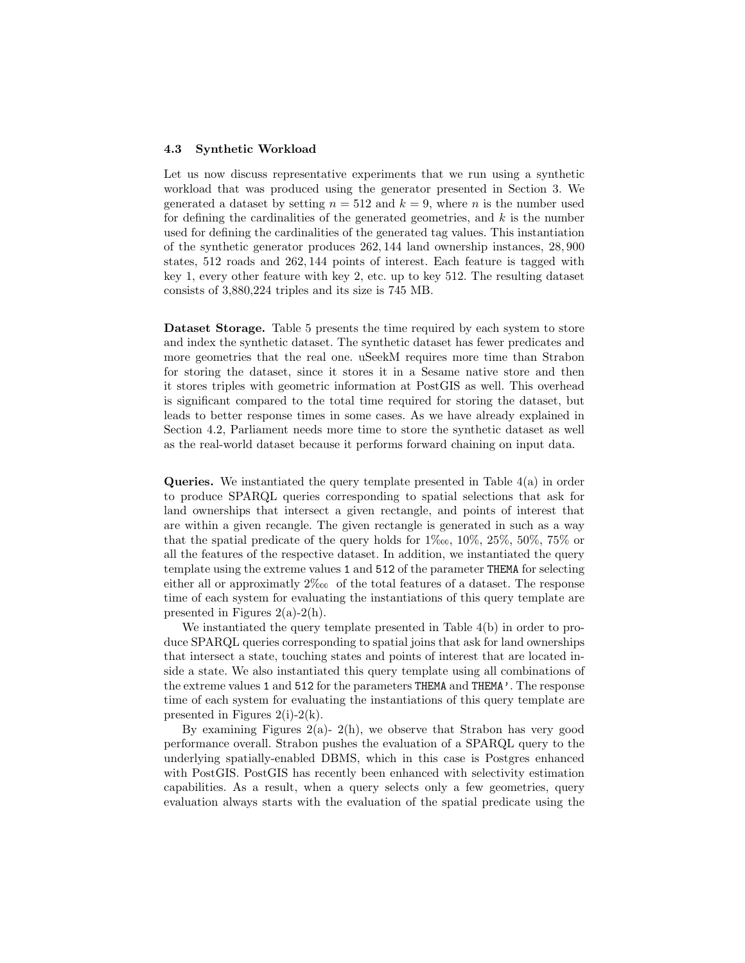#### 4.3 Synthetic Workload

Let us now discuss representative experiments that we run using a synthetic workload that was produced using the generator presented in Section 3. We generated a dataset by setting  $n = 512$  and  $k = 9$ , where n is the number used for defining the cardinalities of the generated geometries, and  $k$  is the number used for defining the cardinalities of the generated tag values. This instantiation of the synthetic generator produces 262, 144 land ownership instances, 28, 900 states, 512 roads and 262, 144 points of interest. Each feature is tagged with key 1, every other feature with key 2, etc. up to key 512. The resulting dataset consists of 3,880,224 triples and its size is 745 MB.

Dataset Storage. Table 5 presents the time required by each system to store and index the synthetic dataset. The synthetic dataset has fewer predicates and more geometries that the real one. uSeekM requires more time than Strabon for storing the dataset, since it stores it in a Sesame native store and then it stores triples with geometric information at PostGIS as well. This overhead is significant compared to the total time required for storing the dataset, but leads to better response times in some cases. As we have already explained in Section 4.2, Parliament needs more time to store the synthetic dataset as well as the real-world dataset because it performs forward chaining on input data.

Queries. We instantiated the query template presented in Table 4(a) in order to produce SPARQL queries corresponding to spatial selections that ask for land ownerships that intersect a given rectangle, and points of interest that are within a given recangle. The given rectangle is generated in such as a way that the spatial predicate of the query holds for 1‱, 10%, 25%, 50%, 75% or all the features of the respective dataset. In addition, we instantiated the query template using the extreme values 1 and 512 of the parameter THEMA for selecting either all or approximatly 2‱ of the total features of a dataset. The response time of each system for evaluating the instantiations of this query template are presented in Figures  $2(a)-2(h)$ .

We instantiated the query template presented in Table 4(b) in order to produce SPARQL queries corresponding to spatial joins that ask for land ownerships that intersect a state, touching states and points of interest that are located inside a state. We also instantiated this query template using all combinations of the extreme values 1 and 512 for the parameters THEMA and THEMA'. The response time of each system for evaluating the instantiations of this query template are presented in Figures 2(i)-2(k).

By examining Figures 2(a)- 2(h), we observe that Strabon has very good performance overall. Strabon pushes the evaluation of a SPARQL query to the underlying spatially-enabled DBMS, which in this case is Postgres enhanced with PostGIS. PostGIS has recently been enhanced with selectivity estimation capabilities. As a result, when a query selects only a few geometries, query evaluation always starts with the evaluation of the spatial predicate using the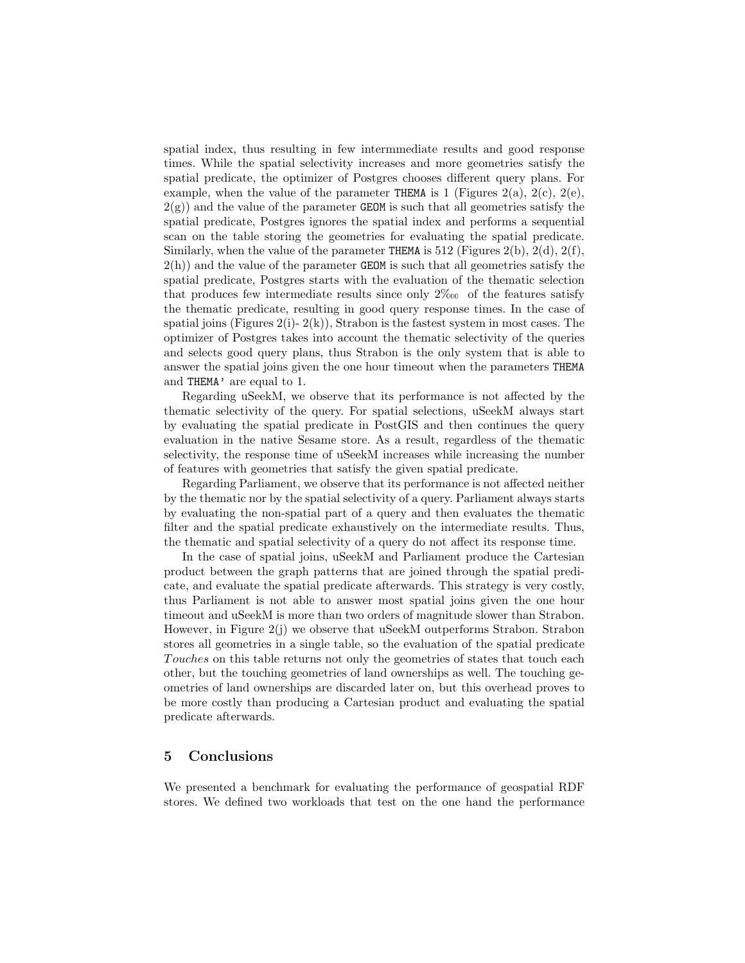spatial index, thus resulting in few intermmediate results and good response times. While the spatial selectivity increases and more geometries satisfy the spatial predicate, the optimizer of Postgres chooses different query plans. For example, when the value of the parameter THEMA is 1 (Figures 2(a), 2(c), 2(e),  $2(g)$ ) and the value of the parameter GEOM is such that all geometries satisfy the spatial predicate, Postgres ignores the spatial index and performs a sequential scan on the table storing the geometries for evaluating the spatial predicate. Similarly, when the value of the parameter THEMA is  $512$  (Figures 2(b), 2(d), 2(f),  $2(h)$ ) and the value of the parameter GEOM is such that all geometries satisfy the spatial predicate, Postgres starts with the evaluation of the thematic selection that produces few intermediate results since only  $2\%$  of the features satisfy the thematic predicate, resulting in good query response times. In the case of spatial joins (Figures 2(i)-  $2(k)$ ), Strabon is the fastest system in most cases. The optimizer of Postgres takes into account the thematic selectivity of the queries and selects good query plans, thus Strabon is the only system that is able to answer the spatial joins given the one hour timeout when the parameters THEMA and THEMA' are equal to 1.

Regarding uSeekM, we observe that its performance is not affected by the thematic selectivity of the query. For spatial selections, uSeekM always start by evaluating the spatial predicate in PostGIS and then continues the query evaluation in the native Sesame store. As a result, regardless of the thematic selectivity, the response time of uSeekM increases while increasing the number of features with geometries that satisfy the given spatial predicate.

Regarding Parliament, we observe that its performance is not affected neither by the thematic nor by the spatial selectivity of a query. Parliament always starts by evaluating the non-spatial part of a query and then evaluates the thematic filter and the spatial predicate exhaustively on the intermediate results. Thus, the thematic and spatial selectivity of a query do not affect its response time.

In the case of spatial joins, uSeekM and Parliament produce the Cartesian product between the graph patterns that are joined through the spatial predicate, and evaluate the spatial predicate afterwards. This strategy is very costly, thus Parliament is not able to answer most spatial joins given the one hour timeout and uSeekM is more than two orders of magnitude slower than Strabon. However, in Figure  $2(j)$  we observe that uSeekM outperforms Strabon. Strabon stores all geometries in a single table, so the evaluation of the spatial predicate Touches on this table returns not only the geometries of states that touch each other, but the touching geometries of land ownerships as well. The touching geometries of land ownerships are discarded later on, but this overhead proves to be more costly than producing a Cartesian product and evaluating the spatial predicate afterwards.

### 5 Conclusions

We presented a benchmark for evaluating the performance of geospatial RDF stores. We defined two workloads that test on the one hand the performance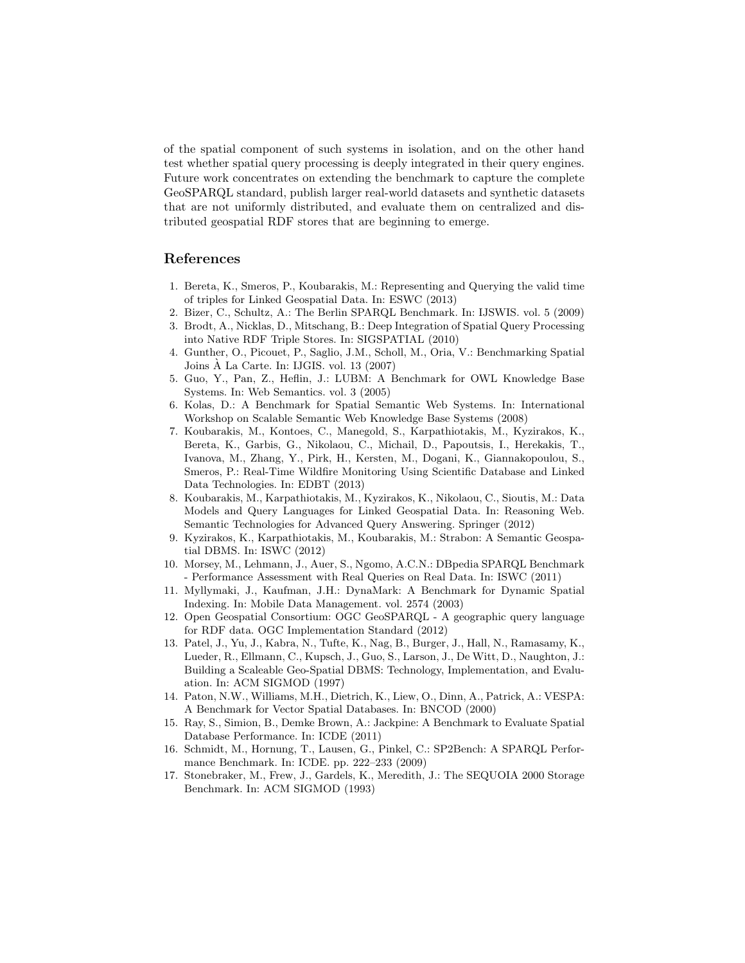of the spatial component of such systems in isolation, and on the other hand test whether spatial query processing is deeply integrated in their query engines. Future work concentrates on extending the benchmark to capture the complete GeoSPARQL standard, publish larger real-world datasets and synthetic datasets that are not uniformly distributed, and evaluate them on centralized and distributed geospatial RDF stores that are beginning to emerge.

## References

- 1. Bereta, K., Smeros, P., Koubarakis, M.: Representing and Querying the valid time of triples for Linked Geospatial Data. In: ESWC (2013)
- 2. Bizer, C., Schultz, A.: The Berlin SPARQL Benchmark. In: IJSWIS. vol. 5 (2009)
- 3. Brodt, A., Nicklas, D., Mitschang, B.: Deep Integration of Spatial Query Processing into Native RDF Triple Stores. In: SIGSPATIAL (2010)
- 4. Gunther, O., Picouet, P., Saglio, J.M., Scholl, M., Oria, V.: Benchmarking Spatial Joins A La Carte. In: IJGIS. vol. 13 (2007) `
- 5. Guo, Y., Pan, Z., Heflin, J.: LUBM: A Benchmark for OWL Knowledge Base Systems. In: Web Semantics. vol. 3 (2005)
- 6. Kolas, D.: A Benchmark for Spatial Semantic Web Systems. In: International Workshop on Scalable Semantic Web Knowledge Base Systems (2008)
- 7. Koubarakis, M., Kontoes, C., Manegold, S., Karpathiotakis, M., Kyzirakos, K., Bereta, K., Garbis, G., Nikolaou, C., Michail, D., Papoutsis, I., Herekakis, T., Ivanova, M., Zhang, Y., Pirk, H., Kersten, M., Dogani, K., Giannakopoulou, S., Smeros, P.: Real-Time Wildfire Monitoring Using Scientific Database and Linked Data Technologies. In: EDBT (2013)
- 8. Koubarakis, M., Karpathiotakis, M., Kyzirakos, K., Nikolaou, C., Sioutis, M.: Data Models and Query Languages for Linked Geospatial Data. In: Reasoning Web. Semantic Technologies for Advanced Query Answering. Springer (2012)
- 9. Kyzirakos, K., Karpathiotakis, M., Koubarakis, M.: Strabon: A Semantic Geospatial DBMS. In: ISWC (2012)
- 10. Morsey, M., Lehmann, J., Auer, S., Ngomo, A.C.N.: DBpedia SPARQL Benchmark - Performance Assessment with Real Queries on Real Data. In: ISWC (2011)
- 11. Myllymaki, J., Kaufman, J.H.: DynaMark: A Benchmark for Dynamic Spatial Indexing. In: Mobile Data Management. vol. 2574 (2003)
- 12. Open Geospatial Consortium: OGC GeoSPARQL A geographic query language for RDF data. OGC Implementation Standard (2012)
- 13. Patel, J., Yu, J., Kabra, N., Tufte, K., Nag, B., Burger, J., Hall, N., Ramasamy, K., Lueder, R., Ellmann, C., Kupsch, J., Guo, S., Larson, J., De Witt, D., Naughton, J.: Building a Scaleable Geo-Spatial DBMS: Technology, Implementation, and Evaluation. In: ACM SIGMOD (1997)
- 14. Paton, N.W., Williams, M.H., Dietrich, K., Liew, O., Dinn, A., Patrick, A.: VESPA: A Benchmark for Vector Spatial Databases. In: BNCOD (2000)
- 15. Ray, S., Simion, B., Demke Brown, A.: Jackpine: A Benchmark to Evaluate Spatial Database Performance. In: ICDE (2011)
- 16. Schmidt, M., Hornung, T., Lausen, G., Pinkel, C.: SP2Bench: A SPARQL Performance Benchmark. In: ICDE. pp. 222–233 (2009)
- 17. Stonebraker, M., Frew, J., Gardels, K., Meredith, J.: The SEQUOIA 2000 Storage Benchmark. In: ACM SIGMOD (1993)